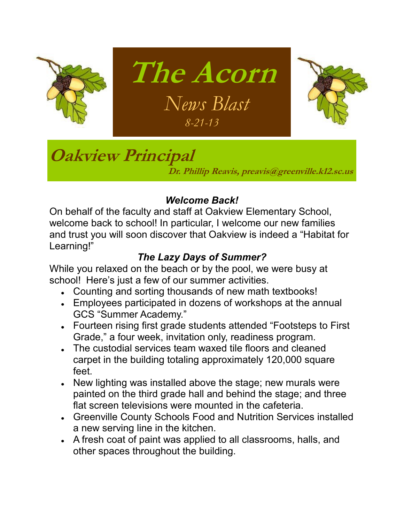



## **Oakview Principal**

**Dr. Phillip Reavis, preavis@greenville.k12.sc.us**

### *Welcome Back!*

**The Acorn**

 *News Blast*

*8-21-13*

On behalf of the faculty and staff at Oakview Elementary School, welcome back to school! In particular, I welcome our new families and trust you will soon discover that Oakview is indeed a "Habitat for Learning!"

### *The Lazy Days of Summer?*

While you relaxed on the beach or by the pool, we were busy at school! Here's just a few of our summer activities.

- Counting and sorting thousands of new math textbooks!
- Employees participated in dozens of workshops at the annual GCS "Summer Academy."
- Fourteen rising first grade students attended "Footsteps to First Grade," a four week, invitation only, readiness program.
- The custodial services team waxed tile floors and cleaned carpet in the building totaling approximately 120,000 square feet.
- New lighting was installed above the stage; new murals were painted on the third grade hall and behind the stage; and three flat screen televisions were mounted in the cafeteria.
- Greenville County Schools Food and Nutrition Services installed a new serving line in the kitchen.
- A fresh coat of paint was applied to all classrooms, halls, and other spaces throughout the building.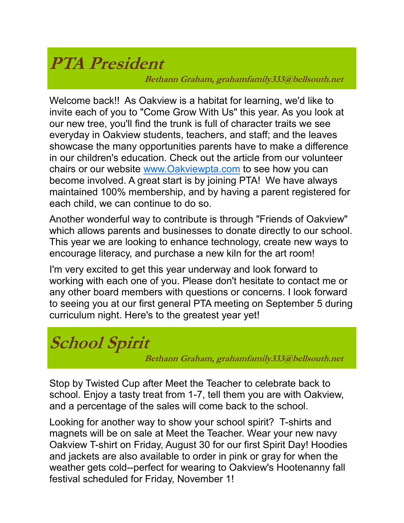## **PTA President**

**Bethann Graham, grahamfamily333@bellsouth.net**

Welcome back!! As Oakview is a habitat for learning, we'd like to invite each of you to "Come Grow With Us" this year. As you look at our new tree, you'll find the trunk is full of character traits we see everyday in Oakview students, teachers, and staff; and the leaves showcase the many opportunities parents have to make a difference in our children's education. Check out the article from our volunteer chairs or our website [www.Oakviewpta.com](http://www.Oakviewpta.com) to see how you can become involved. A great start is by joining PTA! We have always maintained 100% membership, and by having a parent registered for each child, we can continue to do so.

Another wonderful way to contribute is through "Friends of Oakview" which allows parents and businesses to donate directly to our school. This year we are looking to enhance technology, create new ways to encourage literacy, and purchase a new kiln for the art room!

I'm very excited to get this year underway and look forward to working with each one of you. Please don't hesitate to contact me or any other board members with questions or concerns. I look forward to seeing you at our first general PTA meeting on September 5 during curriculum night. Here's to the greatest year yet!

### **School Spirit**

**Bethann Graham, grahamfamily333@bellsouth.net**

Stop by Twisted Cup after Meet the Teacher to celebrate back to school. Enjoy a tasty treat from 1-7, tell them you are with Oakview, and a percentage of the sales will come back to the school.

Looking for another way to show your school spirit? T-shirts and magnets will be on sale at Meet the Teacher. Wear your new navy Oakview T-shirt on Friday, August 30 for our first Spirit Day! Hoodies and jackets are also available to order in pink or gray for when the weather gets cold--perfect for wearing to Oakview's Hootenanny fall festival scheduled for Friday, November 1!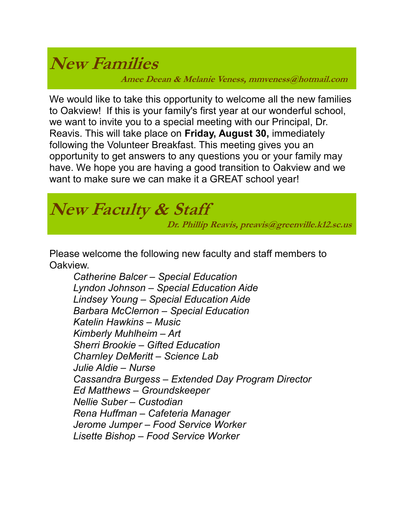### **New Families**

**Amee Deean & Melanie Veness, mmveness@hotmail.com**

We would like to take this opportunity to welcome all the new families to Oakview! If this is your family's first year at our wonderful school, we want to invite you to a special meeting with our Principal, Dr. Reavis. This will take place on **Friday, August 30,** immediately following the Volunteer Breakfast. This meeting gives you an opportunity to get answers to any questions you or your family may have. We hope you are having a good transition to Oakview and we want to make sure we can make it a GREAT school year!

## **New Faculty & Staff**

 **Dr. Phillip Reavis, preavis@greenville.k12.sc.us**

Please welcome the following new faculty and staff members to Oakview.

*Catherine Balcer – Special Education Lyndon Johnson – Special Education Aide Lindsey Young – Special Education Aide Barbara McClernon – Special Education Katelin Hawkins – Music Kimberly Muhlheim – Art Sherri Brookie – Gifted Education Charnley DeMeritt – Science Lab Julie Aldie – Nurse Cassandra Burgess – Extended Day Program Director Ed Matthews – Groundskeeper Nellie Suber – Custodian Rena Huffman – Cafeteria Manager Jerome Jumper – Food Service Worker Lisette Bishop – Food Service Worker*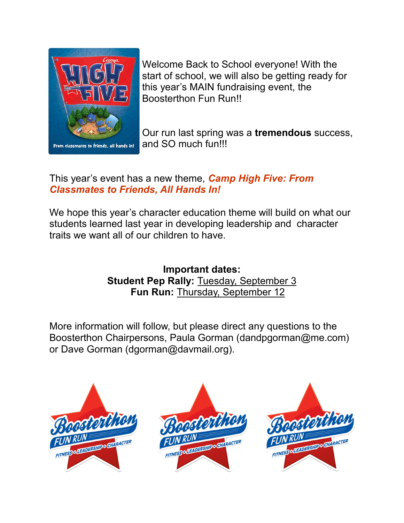

Welcome Back to School everyone! With the start of school, we will also be getting ready for this year's MAIN fundraising event, the Boosterthon Fun Run!!

Our run last spring was a **tremendous** success, and SO much fun!!!

### This year's event has a new theme, *Camp High Five: From Classmates to Friends, All Hands In!*

We hope this year's character education theme will build on what our students learned last year in developing leadership and character traits we want all of our children to have.

#### **Important dates: Student Pep Rally:** Tuesday, September 3 **Fun Run:** Thursday, September 12

More information will follow, but please direct any questions to the Boosterthon Chairpersons, Paula Gorman (dandpgorman@me.com) or Dave Gorman (dgorman@davmail.org).

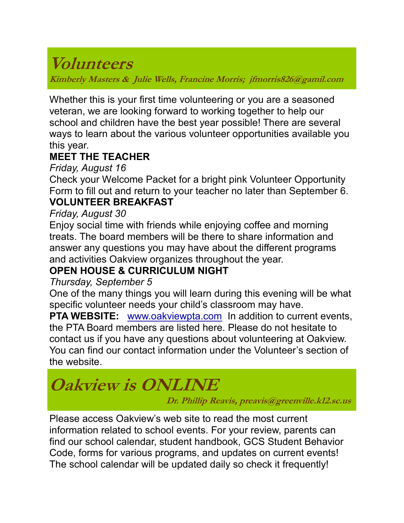### **Volunteers**

**Kimberly Masters & Julie Wells, Francine Morris; jfmorris826@gamil.com**

Whether this is your first time volunteering or you are a seasoned veteran, we are looking forward to working together to help our school and children have the best year possible! There are several ways to learn about the various volunteer opportunities available you this year.

### **MEET THE TEACHER**

*Friday, August 16*

Check your Welcome Packet for a bright pink Volunteer Opportunity Form to fill out and return to your teacher no later than September 6.

### **VOLUNTEER BREAKFAST**

#### *Friday, August 30*

Enjoy social time with friends while enjoying coffee and morning treats. The board members will be there to share information and answer any questions you may have about the different programs and activities Oakview organizes throughout the year.

### **OPEN HOUSE & CURRICULUM NIGHT**

#### *Thursday, September 5*

One of the many things you will learn during this evening will be what specific volunteer needs your child's classroom may have.

**PTA WEBSITE:** [www.oakviewpta.com](http://www.oakviewpta.com/) In addition to current events, the PTA Board members are listed here. Please do not hesitate to contact us if you have any questions about volunteering at Oakview. You can find our contact information under the Volunteer's section of the website.

## **Oakview is ONLINE**

 **Dr. Phillip Reavis, preavis@greenville.k12.sc.us**

Please access Oakview's web site to read the most current information related to school events. For your review, parents can find our school calendar, student handbook, GCS Student Behavior Code, forms for various programs, and updates on current events! The school calendar will be updated daily so check it frequently!